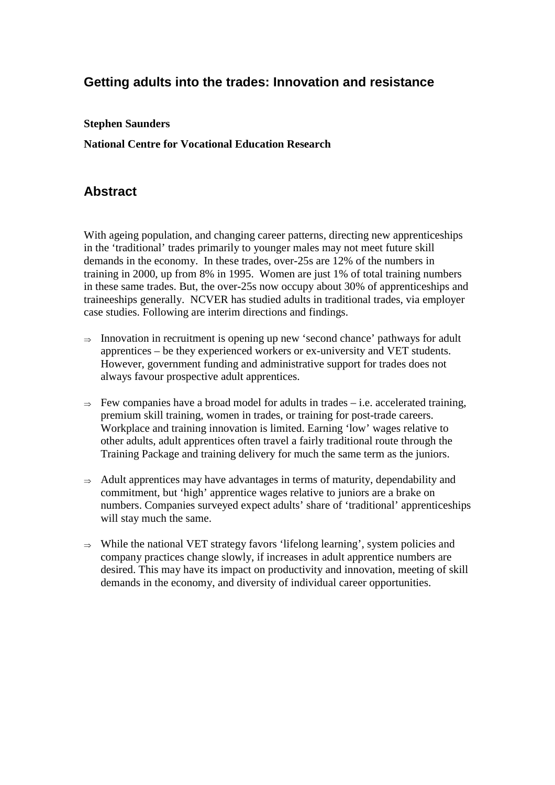# **Getting adults into the trades: Innovation and resistance**

#### **Stephen Saunders**

**National Centre for Vocational Education Research** 

# **Abstract**

With ageing population, and changing career patterns, directing new apprenticeships in the 'traditional' trades primarily to younger males may not meet future skill demands in the economy. In these trades, over-25s are 12% of the numbers in training in 2000, up from 8% in 1995. Women are just 1% of total training numbers in these same trades. But, the over-25s now occupy about 30% of apprenticeships and traineeships generally. NCVER has studied adults in traditional trades, via employer case studies. Following are interim directions and findings.

- $\Rightarrow$  Innovation in recruitment is opening up new 'second chance' pathways for adult apprentices – be they experienced workers or ex-university and VET students. However, government funding and administrative support for trades does not always favour prospective adult apprentices.
- $\Rightarrow$  Few companies have a broad model for adults in trades i.e. accelerated training, premium skill training, women in trades, or training for post-trade careers. Workplace and training innovation is limited. Earning 'low' wages relative to other adults, adult apprentices often travel a fairly traditional route through the Training Package and training delivery for much the same term as the juniors.
- $\Rightarrow$  Adult apprentices may have advantages in terms of maturity, dependability and commitment, but 'high' apprentice wages relative to juniors are a brake on numbers. Companies surveyed expect adults' share of 'traditional' apprenticeships will stay much the same.
- <sup>⇒</sup>While the national VET strategy favors 'lifelong learning', system policies and company practices change slowly, if increases in adult apprentice numbers are desired. This may have its impact on productivity and innovation, meeting of skill demands in the economy, and diversity of individual career opportunities.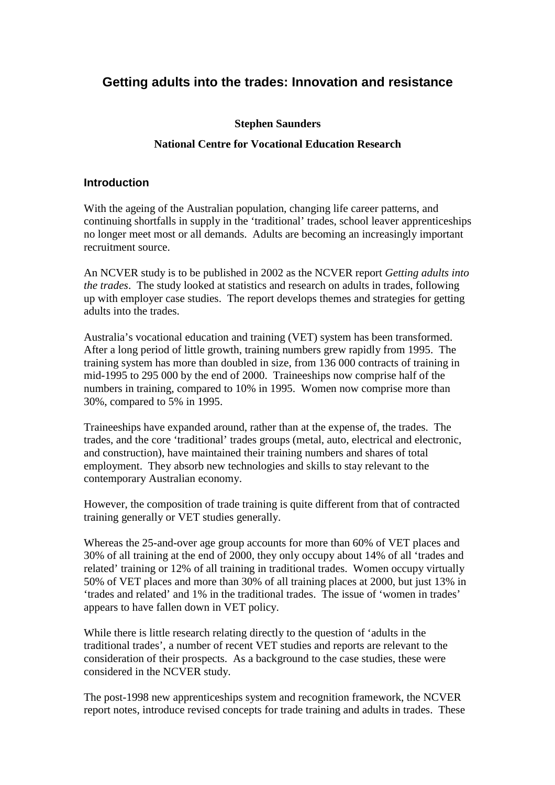# **Getting adults into the trades: Innovation and resistance**

#### **Stephen Saunders**

### **National Centre for Vocational Education Research**

#### **Introduction**

With the ageing of the Australian population, changing life career patterns, and continuing shortfalls in supply in the 'traditional' trades, school leaver apprenticeships no longer meet most or all demands. Adults are becoming an increasingly important recruitment source.

An NCVER study is to be published in 2002 as the NCVER report *Getting adults into the trades*. The study looked at statistics and research on adults in trades, following up with employer case studies. The report develops themes and strategies for getting adults into the trades.

Australia's vocational education and training (VET) system has been transformed. After a long period of little growth, training numbers grew rapidly from 1995. The training system has more than doubled in size, from 136 000 contracts of training in mid-1995 to 295 000 by the end of 2000. Traineeships now comprise half of the numbers in training, compared to 10% in 1995. Women now comprise more than 30%, compared to 5% in 1995.

Traineeships have expanded around, rather than at the expense of, the trades. The trades, and the core 'traditional' trades groups (metal, auto, electrical and electronic, and construction), have maintained their training numbers and shares of total employment. They absorb new technologies and skills to stay relevant to the contemporary Australian economy.

However, the composition of trade training is quite different from that of contracted training generally or VET studies generally.

Whereas the 25-and-over age group accounts for more than 60% of VET places and 30% of all training at the end of 2000, they only occupy about 14% of all 'trades and related' training or 12% of all training in traditional trades. Women occupy virtually 50% of VET places and more than 30% of all training places at 2000, but just 13% in 'trades and related' and 1% in the traditional trades. The issue of 'women in trades' appears to have fallen down in VET policy.

While there is little research relating directly to the question of 'adults in the traditional trades', a number of recent VET studies and reports are relevant to the consideration of their prospects. As a background to the case studies, these were considered in the NCVER study.

The post-1998 new apprenticeships system and recognition framework, the NCVER report notes, introduce revised concepts for trade training and adults in trades. These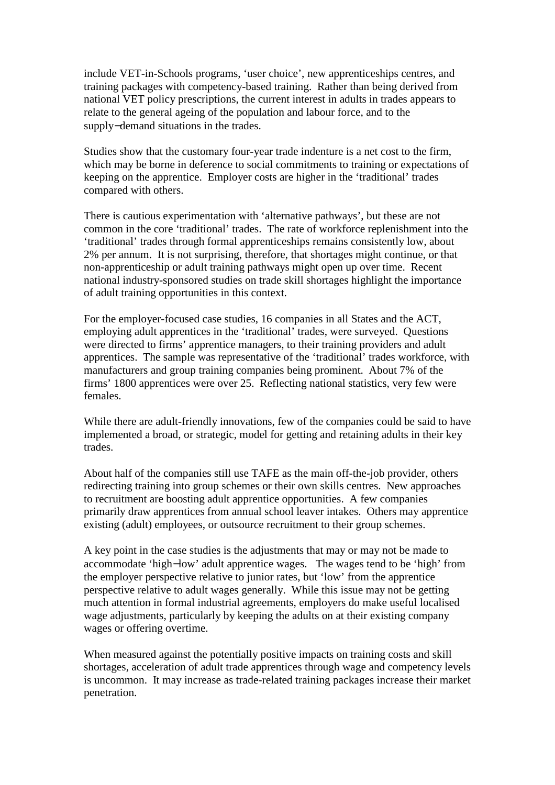include VET-in-Schools programs, 'user choice', new apprenticeships centres, and training packages with competency-based training. Rather than being derived from national VET policy prescriptions, the current interest in adults in trades appears to relate to the general ageing of the population and labour force, and to the supply−demand situations in the trades.

Studies show that the customary four-year trade indenture is a net cost to the firm, which may be borne in deference to social commitments to training or expectations of keeping on the apprentice. Employer costs are higher in the 'traditional' trades compared with others.

There is cautious experimentation with 'alternative pathways', but these are not common in the core 'traditional' trades. The rate of workforce replenishment into the 'traditional' trades through formal apprenticeships remains consistently low, about 2% per annum. It is not surprising, therefore, that shortages might continue, or that non-apprenticeship or adult training pathways might open up over time. Recent national industry-sponsored studies on trade skill shortages highlight the importance of adult training opportunities in this context.

For the employer-focused case studies, 16 companies in all States and the ACT, employing adult apprentices in the 'traditional' trades, were surveyed. Questions were directed to firms' apprentice managers, to their training providers and adult apprentices. The sample was representative of the 'traditional' trades workforce, with manufacturers and group training companies being prominent. About 7% of the firms' 1800 apprentices were over 25. Reflecting national statistics, very few were females.

While there are adult-friendly innovations, few of the companies could be said to have implemented a broad, or strategic, model for getting and retaining adults in their key trades.

About half of the companies still use TAFE as the main off-the-job provider, others redirecting training into group schemes or their own skills centres. New approaches to recruitment are boosting adult apprentice opportunities. A few companies primarily draw apprentices from annual school leaver intakes. Others may apprentice existing (adult) employees, or outsource recruitment to their group schemes.

A key point in the case studies is the adjustments that may or may not be made to accommodate 'high−low' adult apprentice wages. The wages tend to be 'high' from the employer perspective relative to junior rates, but 'low' from the apprentice perspective relative to adult wages generally. While this issue may not be getting much attention in formal industrial agreements, employers do make useful localised wage adjustments, particularly by keeping the adults on at their existing company wages or offering overtime.

When measured against the potentially positive impacts on training costs and skill shortages, acceleration of adult trade apprentices through wage and competency levels is uncommon. It may increase as trade-related training packages increase their market penetration.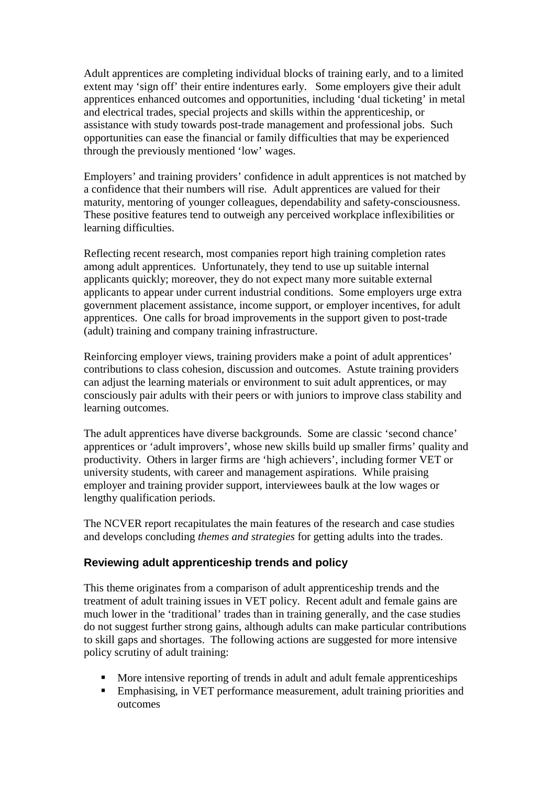Adult apprentices are completing individual blocks of training early, and to a limited extent may 'sign off' their entire indentures early. Some employers give their adult apprentices enhanced outcomes and opportunities, including 'dual ticketing' in metal and electrical trades, special projects and skills within the apprenticeship, or assistance with study towards post-trade management and professional jobs. Such opportunities can ease the financial or family difficulties that may be experienced through the previously mentioned 'low' wages.

Employers' and training providers' confidence in adult apprentices is not matched by a confidence that their numbers will rise. Adult apprentices are valued for their maturity, mentoring of younger colleagues, dependability and safety-consciousness. These positive features tend to outweigh any perceived workplace inflexibilities or learning difficulties.

Reflecting recent research, most companies report high training completion rates among adult apprentices. Unfortunately, they tend to use up suitable internal applicants quickly; moreover, they do not expect many more suitable external applicants to appear under current industrial conditions. Some employers urge extra government placement assistance, income support, or employer incentives, for adult apprentices. One calls for broad improvements in the support given to post-trade (adult) training and company training infrastructure.

Reinforcing employer views, training providers make a point of adult apprentices' contributions to class cohesion, discussion and outcomes. Astute training providers can adjust the learning materials or environment to suit adult apprentices, or may consciously pair adults with their peers or with juniors to improve class stability and learning outcomes.

The adult apprentices have diverse backgrounds. Some are classic 'second chance' apprentices or 'adult improvers', whose new skills build up smaller firms' quality and productivity. Others in larger firms are 'high achievers', including former VET or university students, with career and management aspirations. While praising employer and training provider support, interviewees baulk at the low wages or lengthy qualification periods.

The NCVER report recapitulates the main features of the research and case studies and develops concluding *themes and strategies* for getting adults into the trades.

## **Reviewing adult apprenticeship trends and policy**

This theme originates from a comparison of adult apprenticeship trends and the treatment of adult training issues in VET policy. Recent adult and female gains are much lower in the 'traditional' trades than in training generally, and the case studies do not suggest further strong gains, although adults can make particular contributions to skill gaps and shortages. The following actions are suggested for more intensive policy scrutiny of adult training:

- More intensive reporting of trends in adult and adult female apprenticeships
- Emphasising, in VET performance measurement, adult training priorities and outcomes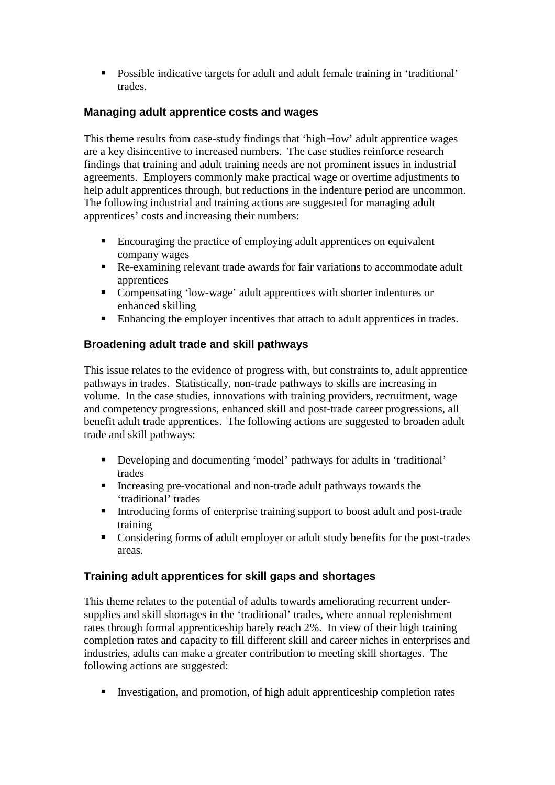Possible indicative targets for adult and adult female training in 'traditional' trades.

## **Managing adult apprentice costs and wages**

This theme results from case-study findings that 'high−low' adult apprentice wages are a key disincentive to increased numbers. The case studies reinforce research findings that training and adult training needs are not prominent issues in industrial agreements. Employers commonly make practical wage or overtime adjustments to help adult apprentices through, but reductions in the indenture period are uncommon. The following industrial and training actions are suggested for managing adult apprentices' costs and increasing their numbers:

- Encouraging the practice of employing adult apprentices on equivalent company wages
- Re-examining relevant trade awards for fair variations to accommodate adult apprentices
- Compensating 'low-wage' adult apprentices with shorter indentures or enhanced skilling
- Enhancing the employer incentives that attach to adult apprentices in trades.

# **Broadening adult trade and skill pathways**

This issue relates to the evidence of progress with, but constraints to, adult apprentice pathways in trades. Statistically, non-trade pathways to skills are increasing in volume. In the case studies, innovations with training providers, recruitment, wage and competency progressions, enhanced skill and post-trade career progressions, all benefit adult trade apprentices. The following actions are suggested to broaden adult trade and skill pathways:

- Developing and documenting 'model' pathways for adults in 'traditional' trades
- Increasing pre-vocational and non-trade adult pathways towards the 'traditional' trades
- Introducing forms of enterprise training support to boost adult and post-trade training
- Considering forms of adult employer or adult study benefits for the post-trades areas.

# **Training adult apprentices for skill gaps and shortages**

This theme relates to the potential of adults towards ameliorating recurrent undersupplies and skill shortages in the 'traditional' trades, where annual replenishment rates through formal apprenticeship barely reach 2%. In view of their high training completion rates and capacity to fill different skill and career niches in enterprises and industries, adults can make a greater contribution to meeting skill shortages. The following actions are suggested:

Investigation, and promotion, of high adult apprenticeship completion rates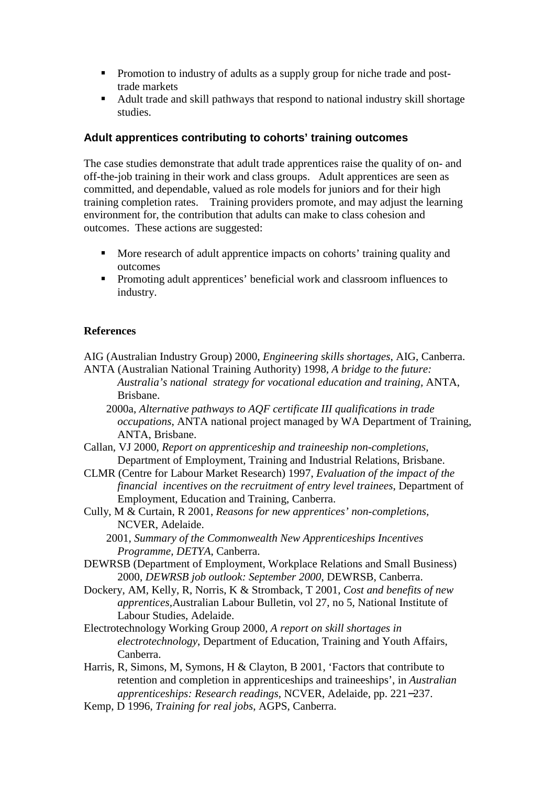- **Promotion to industry of adults as a supply group for niche trade and post**trade markets
- Adult trade and skill pathways that respond to national industry skill shortage studies.

## **Adult apprentices contributing to cohorts' training outcomes**

The case studies demonstrate that adult trade apprentices raise the quality of on- and off-the-job training in their work and class groups. Adult apprentices are seen as committed, and dependable, valued as role models for juniors and for their high training completion rates. Training providers promote, and may adjust the learning environment for, the contribution that adults can make to class cohesion and outcomes. These actions are suggested:

- More research of adult apprentice impacts on cohorts' training quality and outcomes
- **Promoting adult apprentices' beneficial work and classroom influences to** industry.

## **References**

AIG (Australian Industry Group) 2000, *Engineering skills shortages*, AIG, Canberra. ANTA (Australian National Training Authority) 1998*, A bridge to the future:* 

- *Australia's national strategy for vocational education and training,* ANTA, Brisbane.
- 2000a, *Alternative pathways to AQF certificate III qualifications in trade occupations*, ANTA national project managed by WA Department of Training, ANTA, Brisbane.
- Callan, VJ 2000, *Report on apprenticeship and traineeship non-completions*, Department of Employment, Training and Industrial Relations, Brisbane.
- CLMR (Centre for Labour Market Research) 1997, *Evaluation of the impact of the financial incentives on the recruitment of entry level trainees*, Department of Employment, Education and Training, Canberra.
- Cully, M & Curtain, R 2001, *Reasons for new apprentices' non-completions,* NCVER, Adelaide.
- 2001, *Summary of the Commonwealth New Apprenticeships Incentives Programme, DETYA*, Canberra.
- DEWRSB (Department of Employment, Workplace Relations and Small Business) 2000, *DEWRSB job outlook: September 2000*, DEWRSB, Canberra.
- Dockery, AM, Kelly, R, Norris, K & Stromback, T 2001, *Cost and benefits of new apprentices,*Australian Labour Bulletin, vol 27, no 5, National Institute of Labour Studies, Adelaide.
- Electrotechnology Working Group 2000, *A report on skill shortages in electrotechnology*, Department of Education, Training and Youth Affairs, Canberra.
- Harris, R, Simons, M, Symons, H & Clayton, B 2001, 'Factors that contribute to retention and completion in apprenticeships and traineeships', in *Australian apprenticeships: Research readings*, NCVER, Adelaide, pp. 221−237.
- Kemp, D 1996, *Training for real jobs*, AGPS, Canberra.